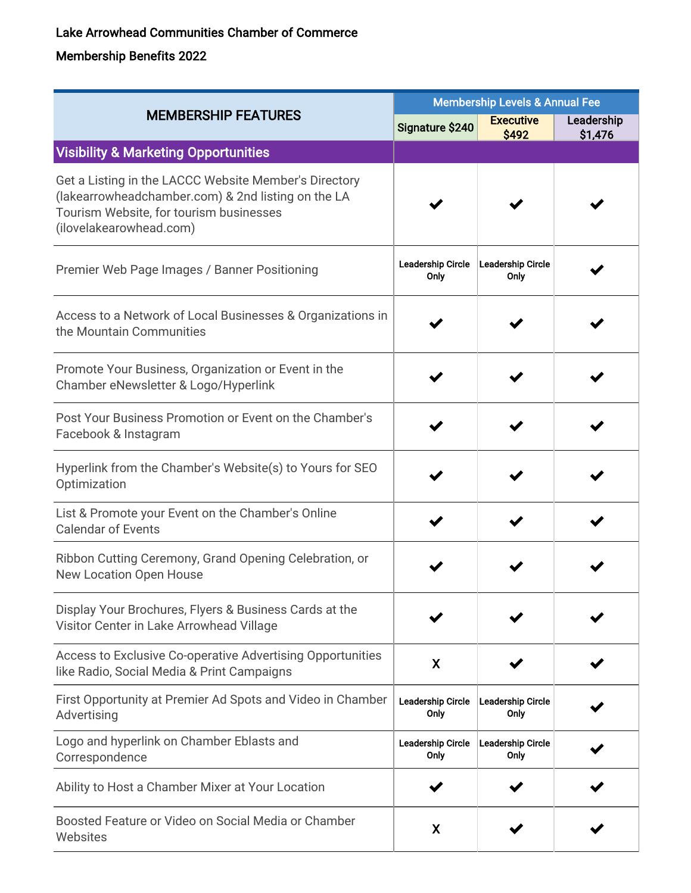## Lake Arrowhead Communities Chamber of Commerce

## Membership Benefits 2022

| <b>MEMBERSHIP FEATURES</b>                                                                                                                                                        | <b>Membership Levels &amp; Annual Fee</b> |                           |                       |
|-----------------------------------------------------------------------------------------------------------------------------------------------------------------------------------|-------------------------------------------|---------------------------|-----------------------|
|                                                                                                                                                                                   | Signature \$240                           | <b>Executive</b><br>\$492 | Leadership<br>\$1,476 |
| <b>Visibility &amp; Marketing Opportunities</b>                                                                                                                                   |                                           |                           |                       |
| Get a Listing in the LACCC Website Member's Directory<br>(lakearrowheadchamber.com) & 2nd listing on the LA<br>Tourism Website, for tourism businesses<br>(ilovelakearowhead.com) |                                           |                           |                       |
| Premier Web Page Images / Banner Positioning                                                                                                                                      | Leadership Circle<br>Only                 | Leadership Circle<br>Only |                       |
| Access to a Network of Local Businesses & Organizations in<br>the Mountain Communities                                                                                            |                                           |                           |                       |
| Promote Your Business, Organization or Event in the<br>Chamber eNewsletter & Logo/Hyperlink                                                                                       |                                           |                           |                       |
| Post Your Business Promotion or Event on the Chamber's<br>Facebook & Instagram                                                                                                    |                                           |                           |                       |
| Hyperlink from the Chamber's Website(s) to Yours for SEO<br>Optimization                                                                                                          |                                           |                           |                       |
| List & Promote your Event on the Chamber's Online<br><b>Calendar of Events</b>                                                                                                    |                                           |                           |                       |
| Ribbon Cutting Ceremony, Grand Opening Celebration, or<br><b>New Location Open House</b>                                                                                          |                                           |                           |                       |
| Display Your Brochures, Flyers & Business Cards at the<br>Visitor Center in Lake Arrowhead Village                                                                                |                                           |                           |                       |
| Access to Exclusive Co-operative Advertising Opportunities<br>like Radio, Social Media & Print Campaigns                                                                          | X                                         |                           |                       |
| First Opportunity at Premier Ad Spots and Video in Chamber<br>Advertising                                                                                                         | <b>Leadership Circle</b><br>Only          | Leadership Circle<br>Only |                       |
| Logo and hyperlink on Chamber Eblasts and<br>Correspondence                                                                                                                       | <b>Leadership Circle</b><br>Only          | Leadership Circle<br>Only |                       |
| Ability to Host a Chamber Mixer at Your Location                                                                                                                                  |                                           |                           |                       |
| Boosted Feature or Video on Social Media or Chamber<br>Websites                                                                                                                   | X                                         |                           |                       |